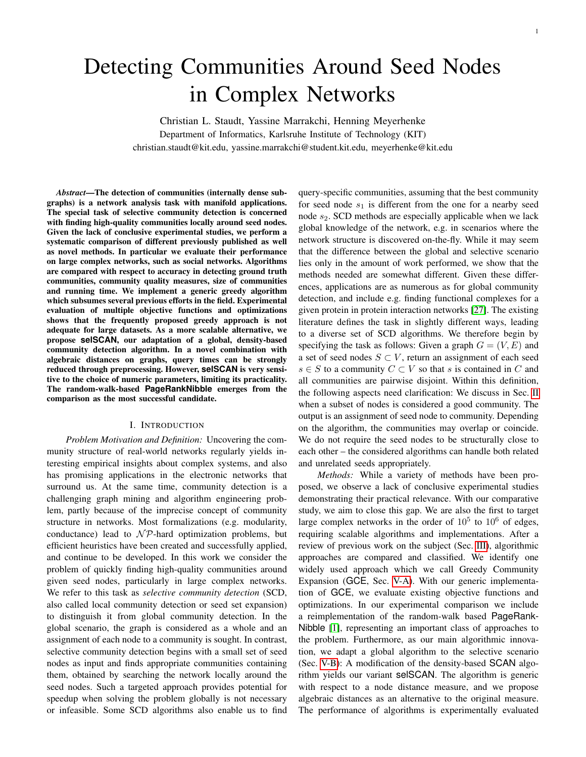# Detecting Communities Around Seed Nodes in Complex Networks

Christian L. Staudt, Yassine Marrakchi, Henning Meyerhenke Department of Informatics, Karlsruhe Institute of Technology (KIT) christian.staudt@kit.edu, yassine.marrakchi@student.kit.edu, meyerhenke@kit.edu

*Abstract*—The detection of communities (internally dense subgraphs) is a network analysis task with manifold applications. The special task of selective community detection is concerned with finding high-quality communities locally around seed nodes. Given the lack of conclusive experimental studies, we perform a systematic comparison of different previously published as well as novel methods. In particular we evaluate their performance on large complex networks, such as social networks. Algorithms are compared with respect to accuracy in detecting ground truth communities, community quality measures, size of communities and running time. We implement a generic greedy algorithm which subsumes several previous efforts in the field. Experimental evaluation of multiple objective functions and optimizations shows that the frequently proposed greedy approach is not adequate for large datasets. As a more scalable alternative, we propose **selSCAN**, our adaptation of a global, density-based community detection algorithm. In a novel combination with algebraic distances on graphs, query times can be strongly reduced through preprocessing. However, **selSCAN** is very sensitive to the choice of numeric parameters, limiting its practicality. The random-walk-based **PageRankNibble** emerges from the comparison as the most successful candidate.

## I. INTRODUCTION

*Problem Motivation and Definition:* Uncovering the community structure of real-world networks regularly yields interesting empirical insights about complex systems, and also has promising applications in the electronic networks that surround us. At the same time, community detection is a challenging graph mining and algorithm engineering problem, partly because of the imprecise concept of community structure in networks. Most formalizations (e.g. modularity, conductance) lead to  $\mathcal{NP}$ -hard optimization problems, but efficient heuristics have been created and successfully applied, and continue to be developed. In this work we consider the problem of quickly finding high-quality communities around given seed nodes, particularly in large complex networks. We refer to this task as *selective community detection* (SCD, also called local community detection or seed set expansion) to distinguish it from global community detection. In the global scenario, the graph is considered as a whole and an assignment of each node to a community is sought. In contrast, selective community detection begins with a small set of seed nodes as input and finds appropriate communities containing them, obtained by searching the network locally around the seed nodes. Such a targeted approach provides potential for speedup when solving the problem globally is not necessary or infeasible. Some SCD algorithms also enable us to find query-specific communities, assuming that the best community for seed node  $s_1$  is different from the one for a nearby seed node  $s_2$ . SCD methods are especially applicable when we lack global knowledge of the network, e.g. in scenarios where the network structure is discovered on-the-fly. While it may seem that the difference between the global and selective scenario lies only in the amount of work performed, we show that the methods needed are somewhat different. Given these differences, applications are as numerous as for global community detection, and include e.g. finding functional complexes for a given protein in protein interaction networks [\[27\]](#page-7-0). The existing literature defines the task in slightly different ways, leading to a diverse set of SCD algorithms. We therefore begin by specifying the task as follows: Given a graph  $G = (V, E)$  and a set of seed nodes  $S \subset V$ , return an assignment of each seed  $s \in S$  to a community  $C \subset V$  so that s is contained in C and all communities are pairwise disjoint. Within this definition, the following aspects need clarification: We discuss in Sec. [II](#page-1-0) when a subset of nodes is considered a good community. The output is an assignment of seed node to community. Depending on the algorithm, the communities may overlap or coincide. We do not require the seed nodes to be structurally close to each other – the considered algorithms can handle both related and unrelated seeds appropriately.

*Methods:* While a variety of methods have been proposed, we observe a lack of conclusive experimental studies demonstrating their practical relevance. With our comparative study, we aim to close this gap. We are also the first to target large complex networks in the order of  $10^5$  to  $10^6$  of edges, requiring scalable algorithms and implementations. After a review of previous work on the subject (Sec. [III\)](#page-1-1), algorithmic approaches are compared and classified. We identify one widely used approach which we call Greedy Community Expansion (GCE, Sec. [V-A\)](#page-2-0). With our generic implementation of GCE, we evaluate existing objective functions and optimizations. In our experimental comparison we include a reimplementation of the random-walk based PageRank-Nibble [\[1\]](#page-7-1), representing an important class of approaches to the problem. Furthermore, as our main algorithmic innovation, we adapt a global algorithm to the selective scenario (Sec. [V-B\)](#page-3-0): A modification of the density-based SCAN algorithm yields our variant selSCAN. The algorithm is generic with respect to a node distance measure, and we propose algebraic distances as an alternative to the original measure. The performance of algorithms is experimentally evaluated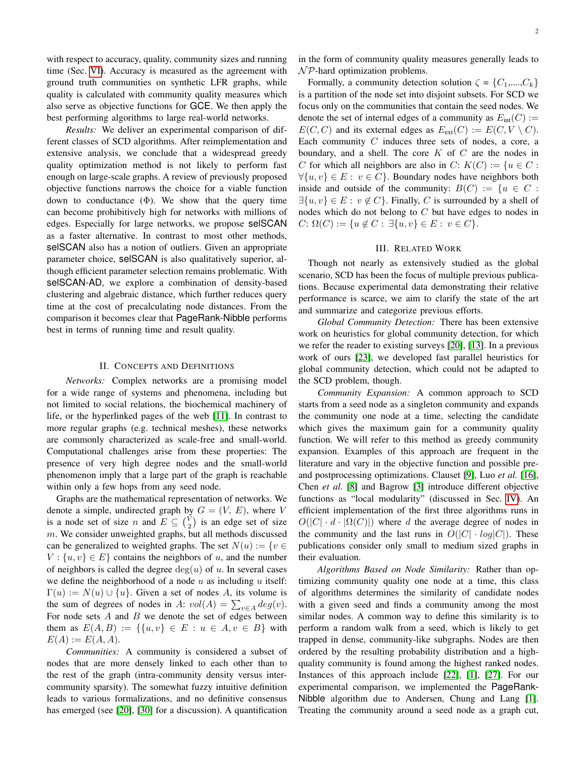with respect to accuracy, quality, community sizes and running time (Sec. [VI\)](#page-4-0). Accuracy is measured as the agreement with ground truth communities on synthetic LFR graphs, while quality is calculated with community quality measures which also serve as objective functions for GCE. We then apply the best performing algorithms to large real-world networks.

*Results:* We deliver an experimental comparison of different classes of SCD algorithms. After reimplementation and extensive analysis, we conclude that a widespread greedy quality optimization method is not likely to perform fast enough on large-scale graphs. A review of previously proposed objective functions narrows the choice for a viable function down to conductance  $(\Phi)$ . We show that the query time can become prohibitively high for networks with millions of edges. Especially for large networks, we propose selSCAN as a faster alternative. In contrast to most other methods, selSCAN also has a notion of outliers. Given an appropriate parameter choice, selSCAN is also qualitatively superior, although efficient parameter selection remains problematic. With selSCAN-AD, we explore a combination of density-based clustering and algebraic distance, which further reduces query time at the cost of precalculating node distances. From the comparison it becomes clear that PageRank-Nibble performs best in terms of running time and result quality.

## II. CONCEPTS AND DEFINITIONS

<span id="page-1-0"></span>*Networks:* Complex networks are a promising model for a wide range of systems and phenomena, including but not limited to social relations, the biochemical machinery of life, or the hyperlinked pages of the web [\[11\]](#page-7-2). In contrast to more regular graphs (e.g. technical meshes), these networks are commonly characterized as scale-free and small-world. Computational challenges arise from these properties: The presence of very high degree nodes and the small-world phenomenon imply that a large part of the graph is reachable within only a few hops from any seed node.

Graphs are the mathematical representation of networks. We denote a simple, undirected graph by  $G = (V, E)$ , where V is a node set of size n and  $E \subseteq {V \choose 2}$  is an edge set of size  $m$ . We consider unweighted graphs, but all methods discussed can be generalized to weighted graphs. The set  $N(u) := \{v \in$  $V: \{u, v\} \in E$  contains the neighbors of u, and the number of neighbors is called the degree  $deg(u)$  of u. In several cases we define the neighborhood of a node  $u$  as including  $u$  itself:  $\Gamma(u) := N(u) \cup \{u\}$ . Given a set of nodes A, its volume is the sum of degrees of nodes in A:  $vol(A) = \sum_{v \in A} deg(v)$ . For node sets  $A$  and  $B$  we denote the set of edges between them as  $E(A, B) := \{ \{u, v\} \in E : u \in A, v \in B \}$  with  $E(A) := E(A, A).$ 

*Communities:* A community is considered a subset of nodes that are more densely linked to each other than to the rest of the graph (intra-community density versus intercommunity sparsity). The somewhat fuzzy intuitive definition leads to various formalizations, and no definitive consensus has emerged (see [\[20\]](#page-7-3), [\[30\]](#page-7-4) for a discussion). A quantification

in the form of community quality measures generally leads to  $\mathcal N\mathcal P$ -hard optimization problems.

Formally, a community detection solution  $\zeta = \{C_1, ..., C_k\}$ is a partition of the node set into disjoint subsets. For SCD we focus only on the communities that contain the seed nodes. We denote the set of internal edges of a community as  $E_{\text{int}}(C)$  :=  $E(C, C)$  and its external edges as  $E_{ext}(C) := E(C, V \setminus C)$ . Each community  $C$  induces three sets of nodes, a core, a boundary, and a shell. The core  $K$  of  $C$  are the nodes in C for which all neighbors are also in C:  $K(C) := \{u \in C :$  $\forall \{u, v\} \in E: v \in C\}$ . Boundary nodes have neighbors both inside and outside of the community:  $B(C) := \{u \in C :$  $\exists \{u, v\} \in E : v \notin C$ . Finally, C is surrounded by a shell of nodes which do not belong to  $C$  but have edges to nodes in  $C: \Omega(C) := \{u \notin C : \exists \{u, v\} \in E : v \in C\}.$ 

## III. RELATED WORK

<span id="page-1-1"></span>Though not nearly as extensively studied as the global scenario, SCD has been the focus of multiple previous publications. Because experimental data demonstrating their relative performance is scarce, we aim to clarify the state of the art and summarize and categorize previous efforts.

*Global Community Detection:* There has been extensive work on heuristics for global community detection, for which we refer the reader to existing surveys [\[20\]](#page-7-3), [\[13\]](#page-7-5). In a previous work of ours [\[23\]](#page-7-6), we developed fast parallel heuristics for global community detection, which could not be adapted to the SCD problem, though.

*Community Expansion:* A common approach to SCD starts from a seed node as a singleton community and expands the community one node at a time, selecting the candidate which gives the maximum gain for a community quality function. We will refer to this method as greedy community expansion. Examples of this approach are frequent in the literature and vary in the objective function and possible preand postprocessing optimizations. Clauset [\[9\]](#page-7-7), Luo *et al.* [\[16\]](#page-7-8), Chen *et al.* [\[8\]](#page-7-9) and Bagrow [\[3\]](#page-7-10) introduce different objective functions as "local modularity" (discussed in Sec. [IV\)](#page-2-1). An efficient implementation of the first three algorithms runs in  $O(|C| \cdot d \cdot |\Omega(C)|)$  where d the average degree of nodes in the community and the last runs in  $O(|C| \cdot log|C|)$ . These publications consider only small to medium sized graphs in their evaluation.

*Algorithms Based on Node Similarity:* Rather than optimizing community quality one node at a time, this class of algorithms determines the similarity of candidate nodes with a given seed and finds a community among the most similar nodes. A common way to define this similarity is to perform a random walk from a seed, which is likely to get trapped in dense, community-like subgraphs. Nodes are then ordered by the resulting probability distribution and a highquality community is found among the highest ranked nodes. Instances of this approach include [\[22\]](#page-7-11), [\[1\]](#page-7-1), [\[27\]](#page-7-0). For our experimental comparison, we implemented the PageRank-Nibble algorithm due to Andersen, Chung and Lang [\[1\]](#page-7-1). Treating the community around a seed node as a graph cut,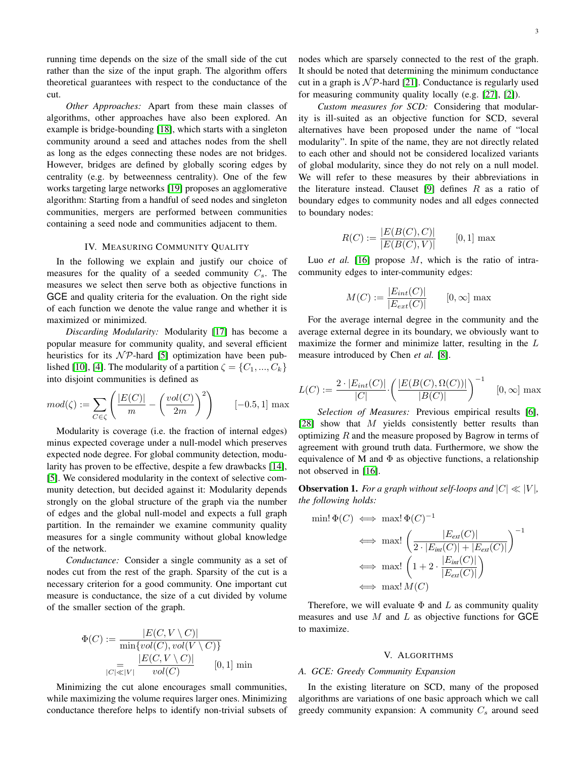running time depends on the size of the small side of the cut rather than the size of the input graph. The algorithm offers theoretical guarantees with respect to the conductance of the cut.

*Other Approaches:* Apart from these main classes of algorithms, other approaches have also been explored. An example is bridge-bounding [\[18\]](#page-7-12), which starts with a singleton community around a seed and attaches nodes from the shell as long as the edges connecting these nodes are not bridges. However, bridges are defined by globally scoring edges by centrality (e.g. by betweenness centrality). One of the few works targeting large networks [\[19\]](#page-7-13) proposes an agglomerative algorithm: Starting from a handful of seed nodes and singleton communities, mergers are performed between communities containing a seed node and communities adjacent to them.

## IV. MEASURING COMMUNITY QUALITY

<span id="page-2-1"></span>In the following we explain and justify our choice of measures for the quality of a seeded community  $C_s$ . The measures we select then serve both as objective functions in GCE and quality criteria for the evaluation. On the right side of each function we denote the value range and whether it is maximized or minimized.

*Discarding Modularity:* Modularity [\[17\]](#page-7-14) has become a popular measure for community quality, and several efficient heuristics for its  $N\mathcal{P}$ -hard [\[5\]](#page-7-15) optimization have been pub-lished [\[10\]](#page-7-16), [\[4\]](#page-7-17). The modularity of a partition  $\zeta = \{C_1, ..., C_k\}$ into disjoint communities is defined as

$$
mod(\zeta) := \sum_{C \in \zeta} \left( \frac{|E(C)|}{m} - \left( \frac{vol(C)}{2m} \right)^2 \right) \qquad [-0.5, 1] \text{ max}
$$

Modularity is coverage (i.e. the fraction of internal edges) minus expected coverage under a null-model which preserves expected node degree. For global community detection, modularity has proven to be effective, despite a few drawbacks [\[14\]](#page-7-18), [\[5\]](#page-7-15). We considered modularity in the context of selective community detection, but decided against it: Modularity depends strongly on the global structure of the graph via the number of edges and the global null-model and expects a full graph partition. In the remainder we examine community quality measures for a single community without global knowledge of the network.

*Conductance:* Consider a single community as a set of nodes cut from the rest of the graph. Sparsity of the cut is a necessary criterion for a good community. One important cut measure is conductance, the size of a cut divided by volume of the smaller section of the graph.

$$
\Phi(C) := \frac{|E(C, V \setminus C)|}{\min\{vol(C), vol(V \setminus C)\}}
$$

$$
= \frac{|E(C, V \setminus C)|}{vol(C)} \qquad [0, 1] \text{ min}
$$

Minimizing the cut alone encourages small communities, while maximizing the volume requires larger ones. Minimizing conductance therefore helps to identify non-trivial subsets of nodes which are sparsely connected to the rest of the graph. It should be noted that determining the minimum conductance cut in a graph is  $N\mathcal{P}$ -hard [\[21\]](#page-7-19). Conductance is regularly used for measuring community quality locally (e.g. [\[27\]](#page-7-0), [\[2\]](#page-7-20)).

*Custom measures for SCD:* Considering that modularity is ill-suited as an objective function for SCD, several alternatives have been proposed under the name of "local modularity". In spite of the name, they are not directly related to each other and should not be considered localized variants of global modularity, since they do not rely on a null model. We will refer to these measures by their abbreviations in the literature instead. Clauset [\[9\]](#page-7-7) defines  $R$  as a ratio of boundary edges to community nodes and all edges connected to boundary nodes:

$$
R(C) := \frac{|E(B(C), C)|}{|E(B(C), V)|} \qquad [0, 1] \text{ max}
$$

Luo *et al.* [\[16\]](#page-7-8) propose M, which is the ratio of intracommunity edges to inter-community edges:

$$
M(C) := \frac{|E_{int}(C)|}{|E_{ext}(C)|} \qquad [0, \infty] \text{ max}
$$

For the average internal degree in the community and the average external degree in its boundary, we obviously want to maximize the former and minimize latter, resulting in the  $L$ measure introduced by Chen *et al.* [\[8\]](#page-7-9).

$$
L(C) := \frac{2 \cdot |E_{int}(C)|}{|C|} \cdot \left( \frac{|E(B(C), \Omega(C))|}{|B(C)|} \right)^{-1} \quad [0, \infty] \text{ max}
$$

*Selection of Measures:* Previous empirical results [\[6\]](#page-7-21), [\[28\]](#page-7-22) show that  $M$  yields consistently better results than optimizing  $R$  and the measure proposed by Bagrow in terms of agreement with ground truth data. Furthermore, we show the equivalence of M and  $\Phi$  as objective functions, a relationship not observed in [\[16\]](#page-7-8).

**Observation 1.** *For a graph without self-loops and*  $|C| \ll |V|$ *, the following holds:*

$$
\min! \Phi(C) \iff \max! \Phi(C)^{-1}
$$
\n
$$
\iff \max! \left( \frac{|E_{ext}(C)|}{2 \cdot |E_{int}(C)| + |E_{ext}(C)|} \right)^{-1}
$$
\n
$$
\iff \max! \left( 1 + 2 \cdot \frac{|E_{int}(C)|}{|E_{ext}(C)|} \right)
$$
\n
$$
\iff \max! M(C)
$$

Therefore, we will evaluate  $\Phi$  and L as community quality measures and use  $M$  and  $L$  as objective functions for GCE to maximize.

#### V. ALGORITHMS

### <span id="page-2-0"></span>*A. GCE: Greedy Community Expansion*

In the existing literature on SCD, many of the proposed algorithms are variations of one basic approach which we call greedy community expansion: A community  $C_s$  around seed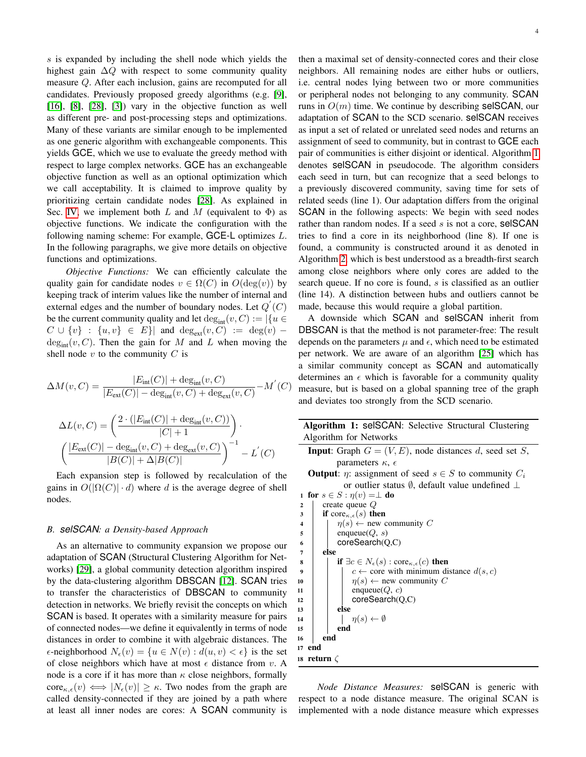s is expanded by including the shell node which yields the highest gain  $\Delta Q$  with respect to some community quality measure Q. After each inclusion, gains are recomputed for all candidates. Previously proposed greedy algorithms (e.g. [\[9\]](#page-7-7),  $[16]$ ,  $[8]$ ,  $[28]$ ,  $[3]$ ) vary in the objective function as well as different pre- and post-processing steps and optimizations. Many of these variants are similar enough to be implemented as one generic algorithm with exchangeable components. This yields GCE, which we use to evaluate the greedy method with respect to large complex networks. GCE has an exchangeable objective function as well as an optional optimization which we call acceptability. It is claimed to improve quality by prioritizing certain candidate nodes [\[28\]](#page-7-22). As explained in Sec. [IV,](#page-2-1) we implement both L and M (equivalent to  $\Phi$ ) as objective functions. We indicate the configuration with the following naming scheme: For example, GCE-L optimizes L. In the following paragraphs, we give more details on objective functions and optimizations.

*Objective Functions:* We can efficiently calculate the quality gain for candidate nodes  $v \in \Omega(C)$  in  $O(\deg(v))$  by keeping track of interim values like the number of internal and external edges and the number of boundary nodes. Let  $Q^{'}(C)$ be the current community quality and let  $\deg_{\text{int}}(v, C) := |\{u \in$  $C \cup \{v\}$  :  $\{u, v\} \in E\}$  and  $\deg_{ext}(v, C)$  :=  $\deg(v)$  –  $deg_{int}(v, C)$ . Then the gain for M and L when moving the shell node  $v$  to the community  $C$  is

$$
\Delta M(v, C) = \frac{|E_{\text{int}}(C)| + \deg_{\text{int}}(v, C)}{|E_{\text{ext}}(C)| - \deg_{\text{int}}(v, C) + \deg_{\text{ext}}(v, C)} - M'(C)
$$

$$
\Delta L(v, C) = \left(\frac{2 \cdot (|E_{\text{int}}(C)| + \deg_{\text{int}}(v, C))}{|C| + 1}\right).
$$

$$
\left(\frac{|E_{\text{ext}}(C)| - \deg_{\text{int}}(v, C) + \deg_{\text{ext}}(v, C)}{|B(C)| + \Delta|B(C)|}\right)^{-1} - L'(C)
$$

Each expansion step is followed by recalculation of the gains in  $O(|\Omega(C)| \cdot d)$  where d is the average degree of shell nodes.

## <span id="page-3-0"></span>*B. selSCAN: a Density-based Approach*

As an alternative to community expansion we propose our adaptation of SCAN (Structural Clustering Algorithm for Networks) [\[29\]](#page-7-23), a global community detection algorithm inspired by the data-clustering algorithm DBSCAN [\[12\]](#page-7-24). SCAN tries to transfer the characteristics of DBSCAN to community detection in networks. We briefly revisit the concepts on which SCAN is based. It operates with a similarity measure for pairs of connected nodes—we define it equivalently in terms of node distances in order to combine it with algebraic distances. The  $\epsilon$ -neighborhood  $N_{\epsilon}(v) = \{u \in N(v) : d(u, v) < \epsilon\}$  is the set of close neighbors which have at most  $\epsilon$  distance from v. A node is a core if it has more than  $\kappa$  close neighbors, formally  $\text{core}_{\kappa,\epsilon}(v) \iff |N_{\epsilon}(v)| \geq \kappa$ . Two nodes from the graph are called density-connected if they are joined by a path where at least all inner nodes are cores: A SCAN community is then a maximal set of density-connected cores and their close neighbors. All remaining nodes are either hubs or outliers, i.e. central nodes lying between two or more communities or peripheral nodes not belonging to any community. SCAN runs in  $O(m)$  time. We continue by describing selSCAN, our adaptation of SCAN to the SCD scenario. selSCAN receives as input a set of related or unrelated seed nodes and returns an assignment of seed to community, but in contrast to GCE each pair of communities is either disjoint or identical. Algorithm [1](#page-3-1) denotes selSCAN in pseudocode. The algorithm considers each seed in turn, but can recognize that a seed belongs to a previously discovered community, saving time for sets of related seeds (line 1). Our adaptation differs from the original SCAN in the following aspects: We begin with seed nodes rather than random nodes. If a seed s is not a core, selSCAN tries to find a core in its neighborhood (line 8). If one is found, a community is constructed around it as denoted in Algorithm [2,](#page-4-1) which is best understood as a breadth-first search among close neighbors where only cores are added to the search queue. If no core is found, s is classified as an outlier (line 14). A distinction between hubs and outliers cannot be made, because this would require a global partition.

A downside which SCAN and selSCAN inherit from DBSCAN is that the method is not parameter-free: The result depends on the parameters  $\mu$  and  $\epsilon$ , which need to be estimated per network. We are aware of an algorithm [\[25\]](#page-7-25) which has a similar community concept as SCAN and automatically determines an  $\epsilon$  which is favorable for a community quality measure, but is based on a global spanning tree of the graph and deviates too strongly from the SCD scenario.

<span id="page-3-1"></span>

| <b>Algorithm 1: selSCAN: Selective Structural Clustering</b>                    |  |  |  |  |  |  |
|---------------------------------------------------------------------------------|--|--|--|--|--|--|
| Algorithm for Networks                                                          |  |  |  |  |  |  |
| <b>Input:</b> Graph $G = (V, E)$ , node distances d, seed set S,                |  |  |  |  |  |  |
| parameters $\kappa$ , $\epsilon$                                                |  |  |  |  |  |  |
| <b>Output:</b> $\eta$ : assignment of seed $s \in S$ to community $C_i$         |  |  |  |  |  |  |
| or outlier status $\emptyset$ , default value undefined $\perp$                 |  |  |  |  |  |  |
| 1 for $s \in S : \eta(v) = \perp$ do                                            |  |  |  |  |  |  |
| create queue $Q$                                                                |  |  |  |  |  |  |
| if core <sub><math>\kappa, \epsilon(s)</math></sub> then                        |  |  |  |  |  |  |
| $\eta(s) \leftarrow$ new community C<br>$\overline{\mathbf{4}}$                 |  |  |  |  |  |  |
| enqueue $(Q, s)$<br>5                                                           |  |  |  |  |  |  |
| coreSearch(Q, C)<br>6                                                           |  |  |  |  |  |  |
| else<br>7                                                                       |  |  |  |  |  |  |
| if $\exists c \in N_{\epsilon}(s) : \text{core}_{\kappa,\epsilon}(c)$ then<br>8 |  |  |  |  |  |  |
| $c \leftarrow$ core with minimum distance $d(s, c)$<br>$\overline{9}$           |  |  |  |  |  |  |
| $\eta(s) \leftarrow$ new community C<br>10                                      |  |  |  |  |  |  |
| enqueue $(Q, c)$<br>11                                                          |  |  |  |  |  |  |
| coreSearch(Q, C)<br>12                                                          |  |  |  |  |  |  |
| else<br>13                                                                      |  |  |  |  |  |  |
| $\eta(s) \leftarrow \emptyset$<br>14<br>end<br>15                               |  |  |  |  |  |  |
| end<br>16                                                                       |  |  |  |  |  |  |
| 17 end                                                                          |  |  |  |  |  |  |
|                                                                                 |  |  |  |  |  |  |
| 18 $\:$ return $\zeta$                                                          |  |  |  |  |  |  |

*Node Distance Measures:* selSCAN is generic with respect to a node distance measure. The original SCAN is implemented with a node distance measure which expresses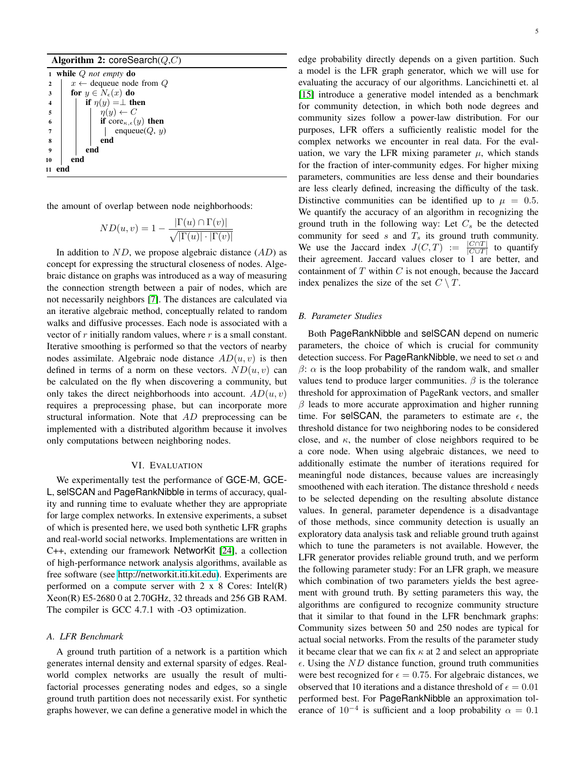#### Algorithm 2: coreSearch(Q,C)

<span id="page-4-1"></span><sup>1</sup> while Q *not empty* do 2  $x \leftarrow$  dequeue node from Q 3 for  $y \in N_{\epsilon}(x)$  do 4 | if  $\eta(y) = \perp$  then  $5 \mid \cdot \cdot \cdot \cdot \eta(y) \leftarrow C$ 6 if core $\kappa, \epsilon(y)$  then  $7 \mid \mid \cdot \mid$  enqueue $(Q, y)$ 8 | | | end  $9 \mid \cdot$  end 10 end <sup>11</sup> end

the amount of overlap between node neighborhoods:

$$
ND(u, v) = 1 - \frac{|\Gamma(u) \cap \Gamma(v)|}{\sqrt{|\Gamma(u)| \cdot |\Gamma(v)|}}
$$

In addition to  $ND$ , we propose algebraic distance  $(AD)$  as concept for expressing the structural closeness of nodes. Algebraic distance on graphs was introduced as a way of measuring the connection strength between a pair of nodes, which are not necessarily neighbors [\[7\]](#page-7-26). The distances are calculated via an iterative algebraic method, conceptually related to random walks and diffusive processes. Each node is associated with a vector of  $r$  initially random values, where  $r$  is a small constant. Iterative smoothing is performed so that the vectors of nearby nodes assimilate. Algebraic node distance  $AD(u, v)$  is then defined in terms of a norm on these vectors.  $ND(u, v)$  can be calculated on the fly when discovering a community, but only takes the direct neighborhoods into account.  $AD(u, v)$ requires a preprocessing phase, but can incorporate more structural information. Note that AD preprocessing can be implemented with a distributed algorithm because it involves only computations between neighboring nodes.

#### VI. EVALUATION

<span id="page-4-0"></span>We experimentally test the performance of GCE-M, GCE-L, selSCAN and PageRankNibble in terms of accuracy, quality and running time to evaluate whether they are appropriate for large complex networks. In extensive experiments, a subset of which is presented here, we used both synthetic LFR graphs and real-world social networks. Implementations are written in C++, extending our framework NetworKit [\[24\]](#page-7-27), a collection of high-performance network analysis algorithms, available as free software (see [http://networkit.iti.kit.edu\)](http://networkit.iti.kit.edu). Experiments are performed on a compute server with  $2 \times 8$  Cores: Intel(R) Xeon(R) E5-2680 0 at 2.70GHz, 32 threads and 256 GB RAM. The compiler is GCC 4.7.1 with -O3 optimization.

## *A. LFR Benchmark*

A ground truth partition of a network is a partition which generates internal density and external sparsity of edges. Realworld complex networks are usually the result of multifactorial processes generating nodes and edges, so a single ground truth partition does not necessarily exist. For synthetic graphs however, we can define a generative model in which the

edge probability directly depends on a given partition. Such a model is the LFR graph generator, which we will use for evaluating the accuracy of our algorithms. Lancichinetti et. al [\[15\]](#page-7-28) introduce a generative model intended as a benchmark for community detection, in which both node degrees and community sizes follow a power-law distribution. For our purposes, LFR offers a sufficiently realistic model for the complex networks we encounter in real data. For the evaluation, we vary the LFR mixing parameter  $\mu$ , which stands for the fraction of inter-community edges. For higher mixing parameters, communities are less dense and their boundaries are less clearly defined, increasing the difficulty of the task. Distinctive communities can be identified up to  $\mu = 0.5$ . We quantify the accuracy of an algorithm in recognizing the ground truth in the following way: Let  $C_s$  be the detected community for seed  $s$  and  $T_s$  its ground truth community. We use the Jaccard index  $J(C,T) := \frac{|C \cap T|}{|C \cup T|}$  to quantify their agreement. Jaccard values closer to 1 are better, and containment of  $T$  within  $C$  is not enough, because the Jaccard index penalizes the size of the set  $C \setminus T$ .

## <span id="page-4-2"></span>*B. Parameter Studies*

Both PageRankNibble and selSCAN depend on numeric parameters, the choice of which is crucial for community detection success. For PageRankNibble, we need to set  $\alpha$  and  $\beta$ :  $\alpha$  is the loop probability of the random walk, and smaller values tend to produce larger communities.  $\beta$  is the tolerance threshold for approximation of PageRank vectors, and smaller  $\beta$  leads to more accurate approximation and higher running time. For selSCAN, the parameters to estimate are  $\epsilon$ , the threshold distance for two neighboring nodes to be considered close, and  $\kappa$ , the number of close neighbors required to be a core node. When using algebraic distances, we need to additionally estimate the number of iterations required for meaningful node distances, because values are increasingly smoothened with each iteration. The distance threshold  $\epsilon$  needs to be selected depending on the resulting absolute distance values. In general, parameter dependence is a disadvantage of those methods, since community detection is usually an exploratory data analysis task and reliable ground truth against which to tune the parameters is not available. However, the LFR generator provides reliable ground truth, and we perform the following parameter study: For an LFR graph, we measure which combination of two parameters yields the best agreement with ground truth. By setting parameters this way, the algorithms are configured to recognize community structure that it similar to that found in the LFR benchmark graphs: Community sizes between 50 and 250 nodes are typical for actual social networks. From the results of the parameter study it became clear that we can fix  $\kappa$  at 2 and select an appropriate  $\epsilon$ . Using the *ND* distance function, ground truth communities were best recognized for  $\epsilon = 0.75$ . For algebraic distances, we observed that 10 iterations and a distance threshold of  $\epsilon = 0.01$ performed best. For PageRankNibble an approximation tolerance of  $10^{-4}$  is sufficient and a loop probability  $\alpha = 0.1$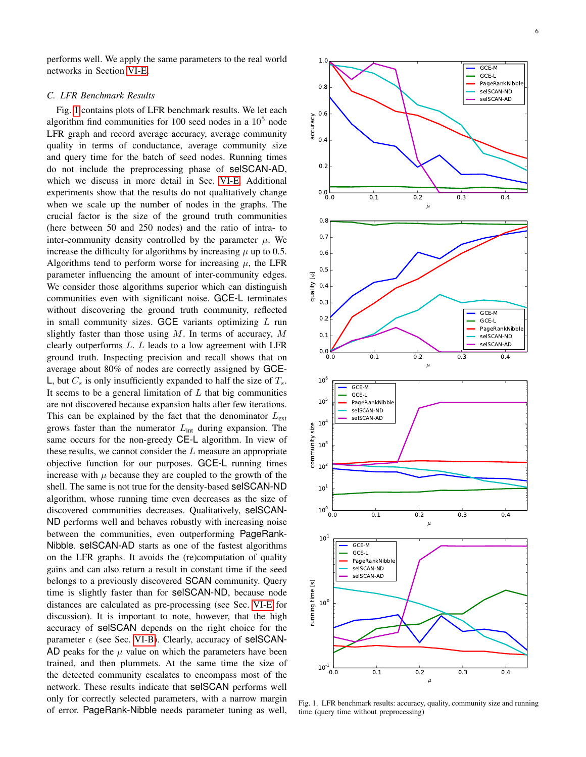performs well. We apply the same parameters to the real world networks in Section [VI-E.](#page-6-0)

## *C. LFR Benchmark Results*

Fig. [1](#page-5-0) contains plots of LFR benchmark results. We let each algorithm find communities for 100 seed nodes in a  $10<sup>5</sup>$  node LFR graph and record average accuracy, average community quality in terms of conductance, average community size and query time for the batch of seed nodes. Running times do not include the preprocessing phase of selSCAN-AD, which we discuss in more detail in Sec. [VI-E.](#page-6-0) Additional experiments show that the results do not qualitatively change when we scale up the number of nodes in the graphs. The crucial factor is the size of the ground truth communities (here between 50 and 250 nodes) and the ratio of intra- to inter-community density controlled by the parameter  $\mu$ . We increase the difficulty for algorithms by increasing  $\mu$  up to 0.5. Algorithms tend to perform worse for increasing  $\mu$ , the LFR parameter influencing the amount of inter-community edges. We consider those algorithms superior which can distinguish communities even with significant noise. GCE-L terminates without discovering the ground truth community, reflected in small community sizes. GCE variants optimizing  $L$  run slightly faster than those using  $M$ . In terms of accuracy,  $M$ clearly outperforms  $L$ .  $L$  leads to a low agreement with LFR ground truth. Inspecting precision and recall shows that on average about 80% of nodes are correctly assigned by GCE-L, but  $C_s$  is only insufficiently expanded to half the size of  $T_s$ . It seems to be a general limitation of  $L$  that big communities are not discovered because expansion halts after few iterations. This can be explained by the fact that the denominator  $L_{\text{ext}}$ grows faster than the numerator  $L_{int}$  during expansion. The same occurs for the non-greedy CE-L algorithm. In view of these results, we cannot consider the  $L$  measure an appropriate objective function for our purposes. GCE-L running times increase with  $\mu$  because they are coupled to the growth of the shell. The same is not true for the density-based selSCAN-ND algorithm, whose running time even decreases as the size of discovered communities decreases. Qualitatively, selSCAN-ND performs well and behaves robustly with increasing noise between the communities, even outperforming PageRank-Nibble. selSCAN-AD starts as one of the fastest algorithms on the LFR graphs. It avoids the (re)computation of quality gains and can also return a result in constant time if the seed belongs to a previously discovered SCAN community. Query time is slightly faster than for selSCAN-ND, because node distances are calculated as pre-processing (see Sec. [VI-E](#page-6-0) for discussion). It is important to note, however, that the high accuracy of selSCAN depends on the right choice for the parameter  $\epsilon$  (see Sec. [VI-B\)](#page-4-2). Clearly, accuracy of selSCAN-AD peaks for the  $\mu$  value on which the parameters have been trained, and then plummets. At the same time the size of the detected community escalates to encompass most of the network. These results indicate that selSCAN performs well only for correctly selected parameters, with a narrow margin of error. PageRank-Nibble needs parameter tuning as well,



<span id="page-5-0"></span>Fig. 1. LFR benchmark results: accuracy, quality, community size and running time (query time without preprocessing)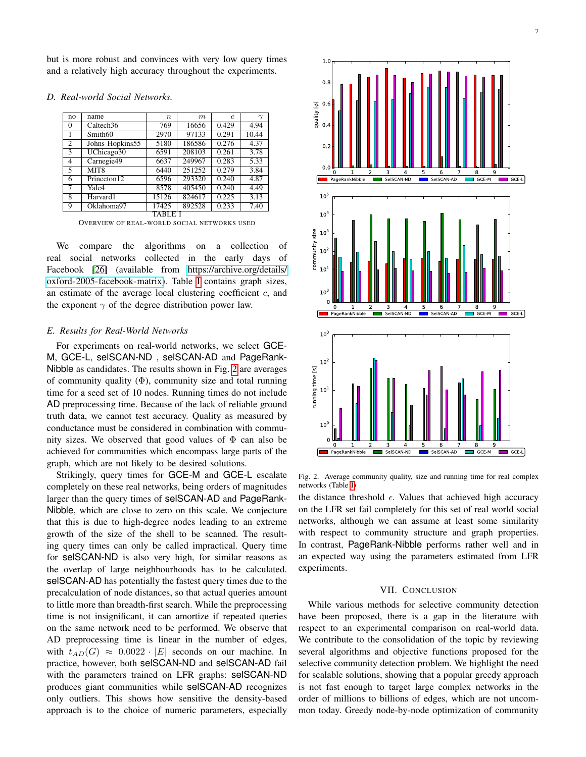but is more robust and convinces with very low query times and a relatively high accuracy throughout the experiments.

| no                       | name                  | $\boldsymbol{n}$ | m      | $\epsilon$ | $\gamma$ |  |
|--------------------------|-----------------------|------------------|--------|------------|----------|--|
| $\Omega$                 | Caltech <sub>36</sub> | 769              | 16656  | 0.429      | 4.94     |  |
|                          | Smith <sub>60</sub>   | 2970             | 97133  | 0.291      | 10.44    |  |
| 2                        | Johns Hopkins55       | 5180             | 186586 | 0.276      | 4.37     |  |
| 3                        | UChicago30            | 6591             | 208103 | 0.261      | 3.78     |  |
| 4                        | Carnegie49            | 6637             | 249967 | 0.283      | 5.33     |  |
| $\overline{\phantom{0}}$ | MIT <sub>8</sub>      | 6440             | 251252 | 0.279      | 3.84     |  |
| 6                        | Princeton12           | 6596             | 293320 | 0.240      | 4.87     |  |
| 7                        | Yale4                 | 8578             | 405450 | 0.240      | 4.49     |  |
| 8                        | Harvard1              | 15126            | 824617 | 0.225      | 3.13     |  |
| 9                        | Oklahoma97            | 17425            | 892528 | 0.233      | 7.40     |  |
| TABL.                    |                       |                  |        |            |          |  |

#### *D. Real-world Social Networks.*

OVERVIEW OF REAL-WORLD SOCIAL NETWORKS USED

<span id="page-6-1"></span>We compare the algorithms on a collection of real social networks collected in the early days of Facebook [\[26\]](#page-7-29) (available from [https://archive.org/details/](https://archive.org/details/oxford-2005-facebook-matrix) [oxford-2005-facebook-matrix\)](https://archive.org/details/oxford-2005-facebook-matrix). Table [I](#page-6-1) contains graph sizes, an estimate of the average local clustering coefficient  $c$ , and the exponent  $\gamma$  of the degree distribution power law.

## <span id="page-6-0"></span>*E. Results for Real-World Networks*

For experiments on real-world networks, we select GCE-M, GCE-L, selSCAN-ND , selSCAN-AD and PageRank-Nibble as candidates. The results shown in Fig. [2](#page-6-2) are averages of community quality  $(\Phi)$ , community size and total running time for a seed set of 10 nodes. Running times do not include AD preprocessing time. Because of the lack of reliable ground truth data, we cannot test accuracy. Quality as measured by conductance must be considered in combination with community sizes. We observed that good values of  $\Phi$  can also be achieved for communities which encompass large parts of the graph, which are not likely to be desired solutions.

Strikingly, query times for GCE-M and GCE-L escalate completely on these real networks, being orders of magnitudes larger than the query times of selSCAN-AD and PageRank-Nibble, which are close to zero on this scale. We conjecture that this is due to high-degree nodes leading to an extreme growth of the size of the shell to be scanned. The resulting query times can only be called impractical. Query time for selSCAN-ND is also very high, for similar reasons as the overlap of large neighbourhoods has to be calculated. selSCAN-AD has potentially the fastest query times due to the precalculation of node distances, so that actual queries amount to little more than breadth-first search. While the preprocessing time is not insignificant, it can amortize if repeated queries on the same network need to be performed. We observe that AD preprocessing time is linear in the number of edges, with  $t_{AD}(G) \approx 0.0022 \cdot |E|$  seconds on our machine. In practice, however, both selSCAN-ND and selSCAN-AD fail with the parameters trained on LFR graphs: selSCAN-ND produces giant communities while selSCAN-AD recognizes only outliers. This shows how sensitive the density-based approach is to the choice of numeric parameters, especially



<span id="page-6-2"></span>Fig. 2. Average community quality, size and running time for real complex networks (Table [I\)](#page-6-1)

the distance threshold  $\epsilon$ . Values that achieved high accuracy on the LFR set fail completely for this set of real world social networks, although we can assume at least some similarity with respect to community structure and graph properties. In contrast, PageRank-Nibble performs rather well and in an expected way using the parameters estimated from LFR experiments.

## VII. CONCLUSION

While various methods for selective community detection have been proposed, there is a gap in the literature with respect to an experimental comparison on real-world data. We contribute to the consolidation of the topic by reviewing several algorithms and objective functions proposed for the selective community detection problem. We highlight the need for scalable solutions, showing that a popular greedy approach is not fast enough to target large complex networks in the order of millions to billions of edges, which are not uncommon today. Greedy node-by-node optimization of community